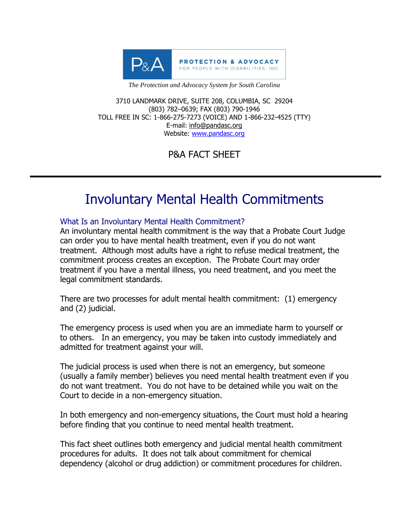

*The Protection and Advocacy System for South Carolina*

3710 LANDMARK DRIVE, SUITE 208, COLUMBIA, SC 29204 (803) 782–0639; FAX (803) 790-1946 TOLL FREE IN SC: 1-866-275-7273 (VOICE) AND 1-866-232-4525 (TTY) E-mail: info@pandasc.org Website: [www.pandasc.org](http://www.pandasc.org/)

P&A FACT SHEET

# Involuntary Mental Health Commitments

## What Is an Involuntary Mental Health Commitment?

An involuntary mental health commitment is the way that a Probate Court Judge can order you to have mental health treatment, even if you do not want treatment. Although most adults have a right to refuse medical treatment, the commitment process creates an exception. The Probate Court may order treatment if you have a mental illness, you need treatment, and you meet the legal commitment standards.

There are two processes for adult mental health commitment: (1) emergency and (2) judicial.

The emergency process is used when you are an immediate harm to yourself or to others. In an emergency, you may be taken into custody immediately and admitted for treatment against your will.

The judicial process is used when there is not an emergency, but someone (usually a family member) believes you need mental health treatment even if you do not want treatment. You do not have to be detained while you wait on the Court to decide in a non-emergency situation.

In both emergency and non-emergency situations, the Court must hold a hearing before finding that you continue to need mental health treatment.

This fact sheet outlines both emergency and judicial mental health commitment procedures for adults. It does not talk about commitment for chemical dependency (alcohol or drug addiction) or commitment procedures for children.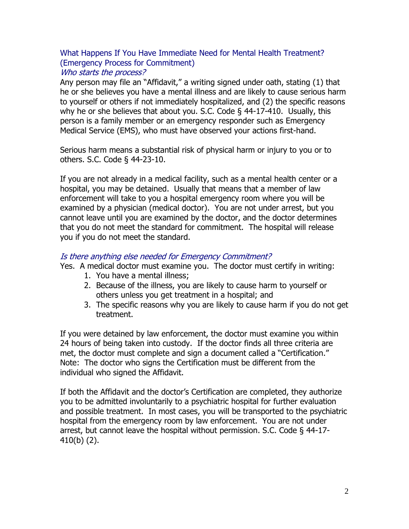#### What Happens If You Have Immediate Need for Mental Health Treatment? (Emergency Process for Commitment) Who starts the process?

Any person may file an "Affidavit," a writing signed under oath, stating (1) that he or she believes you have a mental illness and are likely to cause serious harm to yourself or others if not immediately hospitalized, and (2) the specific reasons why he or she believes that about you. S.C. Code § 44-17-410. Usually, this person is a family member or an emergency responder such as Emergency Medical Service (EMS), who must have observed your actions first-hand.

Serious harm means a substantial risk of physical harm or injury to you or to others. S.C. Code § 44-23-10.

If you are not already in a medical facility, such as a mental health center or a hospital, you may be detained. Usually that means that a member of law enforcement will take to you a hospital emergency room where you will be examined by a physician (medical doctor). You are not under arrest, but you cannot leave until you are examined by the doctor, and the doctor determines that you do not meet the standard for commitment. The hospital will release you if you do not meet the standard.

#### Is there anything else needed for Emergency Commitment?

Yes. A medical doctor must examine you. The doctor must certify in writing:

- 1. You have a mental illness;
- 2. Because of the illness, you are likely to cause harm to yourself or others unless you get treatment in a hospital; and
- 3. The specific reasons why you are likely to cause harm if you do not get treatment.

If you were detained by law enforcement, the doctor must examine you within 24 hours of being taken into custody. If the doctor finds all three criteria are met, the doctor must complete and sign a document called a "Certification." Note: The doctor who signs the Certification must be different from the individual who signed the Affidavit.

If both the Affidavit and the doctor's Certification are completed, they authorize you to be admitted involuntarily to a psychiatric hospital for further evaluation and possible treatment. In most cases, you will be transported to the psychiatric hospital from the emergency room by law enforcement. You are not under arrest, but cannot leave the hospital without permission. S.C. Code § 44-17- 410(b) (2).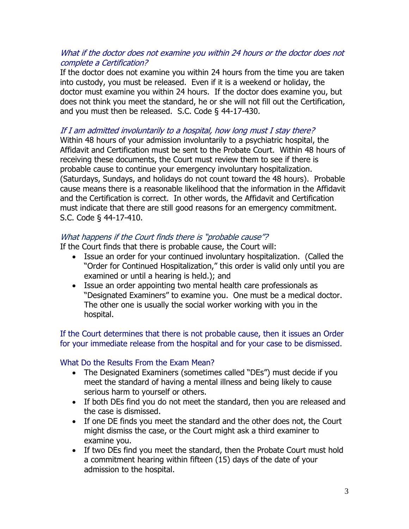#### What if the doctor does not examine you within 24 hours or the doctor does not complete a Certification?

If the doctor does not examine you within 24 hours from the time you are taken into custody, you must be released. Even if it is a weekend or holiday, the doctor must examine you within 24 hours. If the doctor does examine you, but does not think you meet the standard, he or she will not fill out the Certification, and you must then be released. S.C. Code § 44-17-430.

## If I am admitted involuntarily to a hospital, how long must I stay there?

Within 48 hours of your admission involuntarily to a psychiatric hospital, the Affidavit and Certification must be sent to the Probate Court. Within 48 hours of receiving these documents, the Court must review them to see if there is probable cause to continue your emergency involuntary hospitalization. (Saturdays, Sundays, and holidays do not count toward the 48 hours). Probable cause means there is a reasonable likelihood that the information in the Affidavit and the Certification is correct. In other words, the Affidavit and Certification must indicate that there are still good reasons for an emergency commitment. S.C. Code § 44-17-410.

## What happens if the Court finds there is "probable cause"?

If the Court finds that there is probable cause, the Court will:

- Issue an order for your continued involuntary hospitalization. (Called the "Order for Continued Hospitalization," this order is valid only until you are examined or until a hearing is held.); and
- Issue an order appointing two mental health care professionals as "Designated Examiners" to examine you. One must be a medical doctor. The other one is usually the social worker working with you in the hospital.

If the Court determines that there is not probable cause, then it issues an Order for your immediate release from the hospital and for your case to be dismissed.

## What Do the Results From the Exam Mean?

- The Designated Examiners (sometimes called "DEs") must decide if you meet the standard of having a mental illness and being likely to cause serious harm to yourself or others.
- If both DEs find you do not meet the standard, then you are released and the case is dismissed.
- If one DE finds you meet the standard and the other does not, the Court might dismiss the case, or the Court might ask a third examiner to examine you.
- If two DEs find you meet the standard, then the Probate Court must hold a commitment hearing within fifteen (15) days of the date of your admission to the hospital.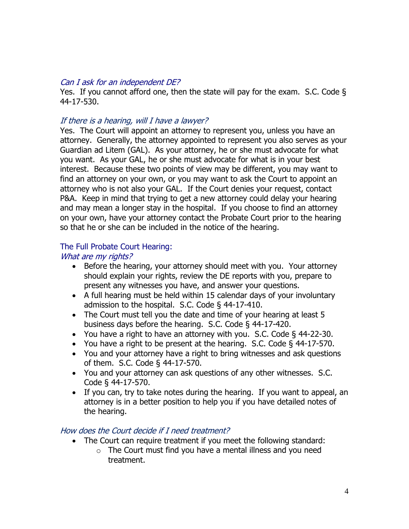#### Can I ask for an independent DE?

Yes. If you cannot afford one, then the state will pay for the exam. S.C. Code § 44-17-530.

#### If there is a hearing, will I have a lawyer?

Yes. The Court will appoint an attorney to represent you, unless you have an attorney. Generally, the attorney appointed to represent you also serves as your Guardian ad Litem (GAL). As your attorney, he or she must advocate for what you want. As your GAL, he or she must advocate for what is in your best interest. Because these two points of view may be different, you may want to find an attorney on your own, or you may want to ask the Court to appoint an attorney who is not also your GAL. If the Court denies your request, contact P&A. Keep in mind that trying to get a new attorney could delay your hearing and may mean a longer stay in the hospital. If you choose to find an attorney on your own, have your attorney contact the Probate Court prior to the hearing so that he or she can be included in the notice of the hearing.

## The Full Probate Court Hearing:

#### What are my rights?

- Before the hearing, your attorney should meet with you. Your attorney should explain your rights, review the DE reports with you, prepare to present any witnesses you have, and answer your questions.
- A full hearing must be held within 15 calendar days of your involuntary admission to the hospital. S.C. Code § 44-17-410.
- The Court must tell you the date and time of your hearing at least 5 business days before the hearing. S.C. Code § 44-17-420.
- You have a right to have an attorney with you. S.C. Code § 44-22-30.
- You have a right to be present at the hearing. S.C. Code § 44-17-570.
- You and your attorney have a right to bring witnesses and ask questions of them. S.C. Code § 44-17-570.
- You and your attorney can ask questions of any other witnesses. S.C. Code § 44-17-570.
- If you can, try to take notes during the hearing. If you want to appeal, an attorney is in a better position to help you if you have detailed notes of the hearing.

## How does the Court decide if I need treatment?

- The Court can require treatment if you meet the following standard:
	- $\circ$  The Court must find you have a mental illness and you need treatment.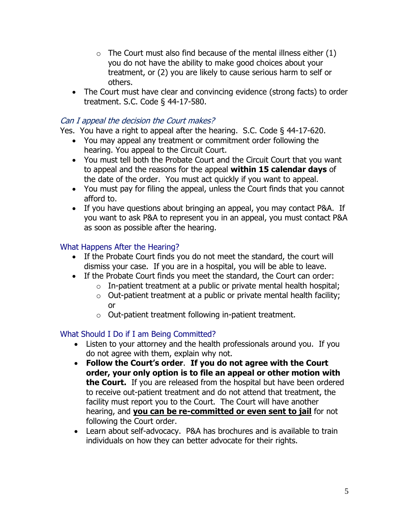- $\circ$  The Court must also find because of the mental illness either (1) you do not have the ability to make good choices about your treatment, or (2) you are likely to cause serious harm to self or others.
- The Court must have clear and convincing evidence (strong facts) to order treatment. S.C. Code § 44-17-580.

## Can I appeal the decision the Court makes?

Yes. You have a right to appeal after the hearing. S.C. Code § 44-17-620.

- You may appeal any treatment or commitment order following the hearing. You appeal to the Circuit Court.
- You must tell both the Probate Court and the Circuit Court that you want to appeal and the reasons for the appeal **within 15 calendar days** of the date of the order. You must act quickly if you want to appeal.
- You must pay for filing the appeal, unless the Court finds that you cannot afford to.
- If you have questions about bringing an appeal, you may contact P&A. If you want to ask P&A to represent you in an appeal, you must contact P&A as soon as possible after the hearing.

## What Happens After the Hearing?

- If the Probate Court finds you do not meet the standard, the court will dismiss your case. If you are in a hospital, you will be able to leave.
- If the Probate Court finds you meet the standard, the Court can order:
	- $\circ$  In-patient treatment at a public or private mental health hospital;
	- $\circ$  Out-patient treatment at a public or private mental health facility; or
	- o Out-patient treatment following in-patient treatment.

## What Should I Do if I am Being Committed?

- Listen to your attorney and the health professionals around you. If you do not agree with them, explain why not.
- **Follow the Court's order**. **If you do not agree with the Court order, your only option is to file an appeal or other motion with the Court.** If you are released from the hospital but have been ordered to receive out-patient treatment and do not attend that treatment, the facility must report you to the Court. The Court will have another hearing, and **you can be re-committed or even sent to jail** for not following the Court order.
- Learn about self-advocacy. P&A has brochures and is available to train individuals on how they can better advocate for their rights.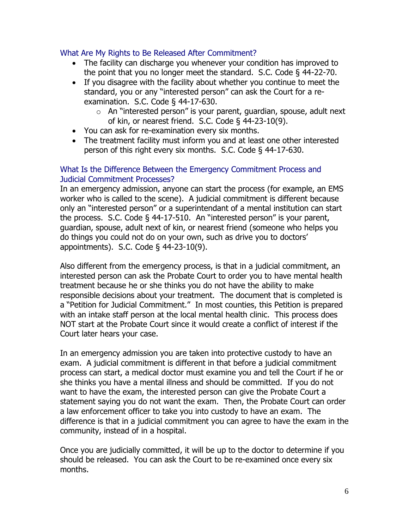#### What Are My Rights to Be Released After Commitment?

- The facility can discharge you whenever your condition has improved to the point that you no longer meet the standard. S.C. Code § 44-22-70.
- If you disagree with the facility about whether you continue to meet the standard, you or any "interested person" can ask the Court for a reexamination. S.C. Code § 44-17-630.
	- $\circ$  An "interested person" is your parent, quardian, spouse, adult next of kin, or nearest friend. S.C. Code § 44-23-10(9).
- You can ask for re-examination every six months.
- The treatment facility must inform you and at least one other interested person of this right every six months. S.C. Code § 44-17-630.

#### What Is the Difference Between the Emergency Commitment Process and Judicial Commitment Processes?

In an emergency admission, anyone can start the process (for example, an EMS worker who is called to the scene). A judicial commitment is different because only an "interested person" or a superintendant of a mental institution can start the process. S.C. Code § 44-17-510. An "interested person" is your parent, guardian, spouse, adult next of kin, or nearest friend (someone who helps you do things you could not do on your own, such as drive you to doctors' appointments). S.C. Code § 44-23-10(9).

Also different from the emergency process, is that in a judicial commitment, an interested person can ask the Probate Court to order you to have mental health treatment because he or she thinks you do not have the ability to make responsible decisions about your treatment. The document that is completed is a "Petition for Judicial Commitment." In most counties, this Petition is prepared with an intake staff person at the local mental health clinic. This process does NOT start at the Probate Court since it would create a conflict of interest if the Court later hears your case.

In an emergency admission you are taken into protective custody to have an exam. A judicial commitment is different in that before a judicial commitment process can start, a medical doctor must examine you and tell the Court if he or she thinks you have a mental illness and should be committed. If you do not want to have the exam, the interested person can give the Probate Court a statement saying you do not want the exam. Then, the Probate Court can order a law enforcement officer to take you into custody to have an exam. The difference is that in a judicial commitment you can agree to have the exam in the community, instead of in a hospital.

Once you are judicially committed, it will be up to the doctor to determine if you should be released. You can ask the Court to be re-examined once every six months.